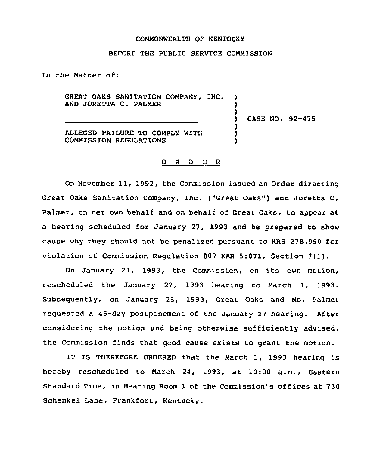## COMMONWEALTH OF KENTUCKY

## BEFORE THE PUBLIC SERVICE COMMISSION

In the Matter of:

GREAT OAKS SANITATION COMPANY, INC. ) AND JORETTA C. PALMER

) CASE NO. 92-475

)

) ) )

ALLEGED FAIIURE TO COMPLY WITH COMMISSION REGULATIONS

## 0 <sup>R</sup> <sup>D</sup> E <sup>R</sup>

On November 11, 1992, the Commission issued an Order directing Great Oaks Sanitation Company, Inc. ("Great Oaks" ) and Joretta C. Palmer, on her own behalf and on behalf of Great Oaks, to appear at a hearing scheduled for January 27, 1993 and be prepared to show cause why they should not be penalized pursuant to KRS 278.990 for violation of Commission Regulation <sup>807</sup> KAR 5:071, Section 7(1).

On January 21, 1993, the Commission, on its own motion, rescheduled the January 27, 1993 hearing to March 1, 1993. Subseguently, on January 25, 1993, Great Oaks and Ms. Palmer requested a 45-day postponement of the January 27 hearing. After considering the motion and being otherwise sufficiently advised, the Commission finds that good cause exists to grant the motion.

IT IS THEREFORE ORDERED that the March 1, 1993 hearing is hereby rescheduled to March 24, 1993, at 10:00 a.m., Eastern Standard Time, in Hearing Room 1 of the Commission's offices at 730 Schenkel Lane, Frankfort, Kentucky.